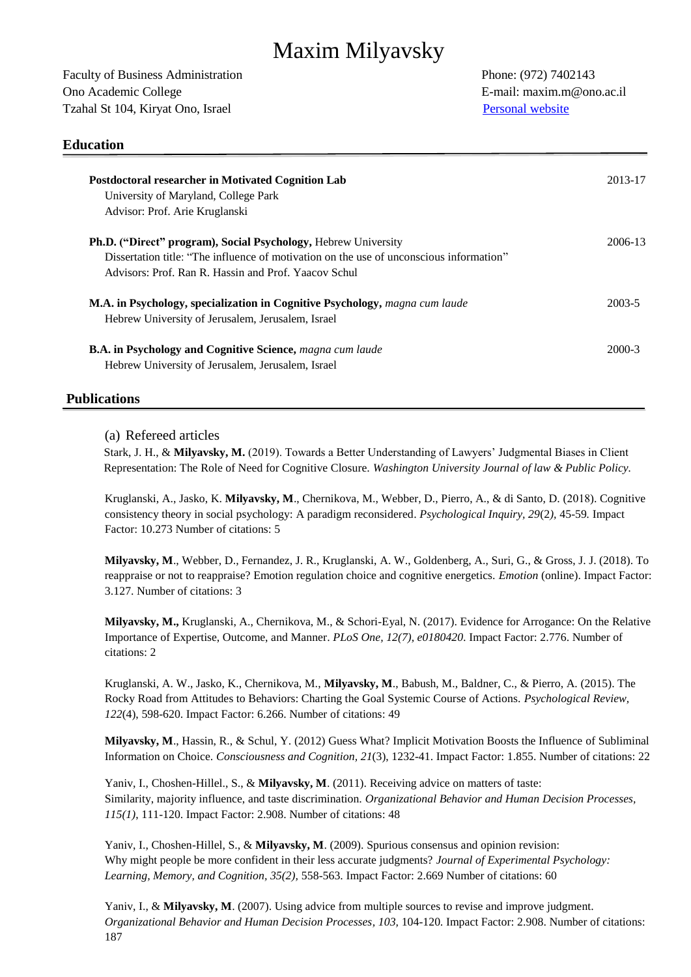# Maxim Milyavsky

Faculty of Business Administration Phone: (972) 7402143 Ono Academic College **E-mail:** maxim.m@ono.ac.il Tzahal St 104, Kiryat Ono, Israel [Personal website](https://www.researchgate.net/profile/Maxim_Milyavsky)

# **Education**

| <b>Postdoctoral researcher in Motivated Cognition Lab</b>                               | 2013-17 |
|-----------------------------------------------------------------------------------------|---------|
| University of Maryland, College Park                                                    |         |
| Advisor: Prof. Arie Kruglanski                                                          |         |
| <b>Ph.D.</b> ("Direct" program), Social Psychology, Hebrew University                   | 2006-13 |
| Dissertation title: "The influence of motivation on the use of unconscious information" |         |
| Advisors: Prof. Ran R. Hassin and Prof. Yaacov Schul                                    |         |
| <b>M.A. in Psychology, specialization in Cognitive Psychology, magna cum laude</b>      | 2003-5  |
| Hebrew University of Jerusalem, Jerusalem, Israel                                       |         |
| <b>B.A. in Psychology and Cognitive Science, magna cum laude</b>                        | 2000-3  |
| Hebrew University of Jerusalem, Jerusalem, Israel                                       |         |
|                                                                                         |         |

# **Publications**

#### (a) Refereed articles

Stark, J. H., & **Milyavsky, M.** (2019). Towards a Better Understanding of Lawyers' Judgmental Biases in Client Representation: The Role of Need for Cognitive Closure. *Washington University Journal of law & Public Policy.*

Kruglanski, A., Jasko, K. **Milyavsky, M**., Chernikova, M., Webber, D., Pierro, A., & di Santo, D. (2018). Cognitive consistency theory in social psychology: A paradigm reconsidered. *Psychological Inquiry, 29*(2*),* 45-59*.* Impact Factor: 10.273 Number of citations: 5

**Milyavsky, M**., Webber, D., Fernandez, J. R., Kruglanski, A. W., Goldenberg, A., Suri, G., & Gross, J. J. (2018). To reappraise or not to reappraise? Emotion regulation choice and cognitive energetics. *Emotion* (online). Impact Factor: 3.127. Number of citations: 3

**Milyavsky, M.,** Kruglanski, A., Chernikova, M., & Schori-Eyal, N. (2017). Evidence for Arrogance: On the Relative Importance of Expertise, Outcome, and Manner. *PLoS One, 12(7), e0180420.* Impact Factor: 2.776. Number of citations: 2

Kruglanski, A. W., Jasko, K., Chernikova, M., **Milyavsky, M**., Babush, M., Baldner, C., & Pierro, A. (2015). The Rocky Road from Attitudes to Behaviors: Charting the Goal Systemic Course of Actions. *Psychological Review, 122*(4), 598-620. Impact Factor: 6.266. Number of citations: 49

**Milyavsky, M**., Hassin, R., & Schul, Y. (2012) Guess What? Implicit Motivation Boosts the Influence of Subliminal Information on Choice. *Consciousness and Cognition, 21*(3), 1232-41. Impact Factor: 1.855. Number of citations: 22

Yaniv, I., Choshen-Hillel., S., & **Milyavsky, M**. (2011). Receiving advice on matters of taste: Similarity, majority influence, and taste discrimination. *Organizational Behavior and Human Decision Processes, 115(1)*, 111-120. Impact Factor: 2.908. Number of citations: 48

Yaniv, I., Choshen-Hillel, S., & **Milyavsky, M**. (2009). Spurious consensus and opinion revision: Why might people be more confident in their less accurate judgments? *Journal of Experimental Psychology: Learning, Memory, and Cognition, 35(2),* 558-563. Impact Factor: 2.669 Number of citations: 60

Yaniv, I., & **Milyavsky, M**. (2007). Using advice from multiple sources to revise and improve judgment. *Organizational Behavior and Human Decision Processes, 103,* 104-120*.* Impact Factor: 2.908. Number of citations: 187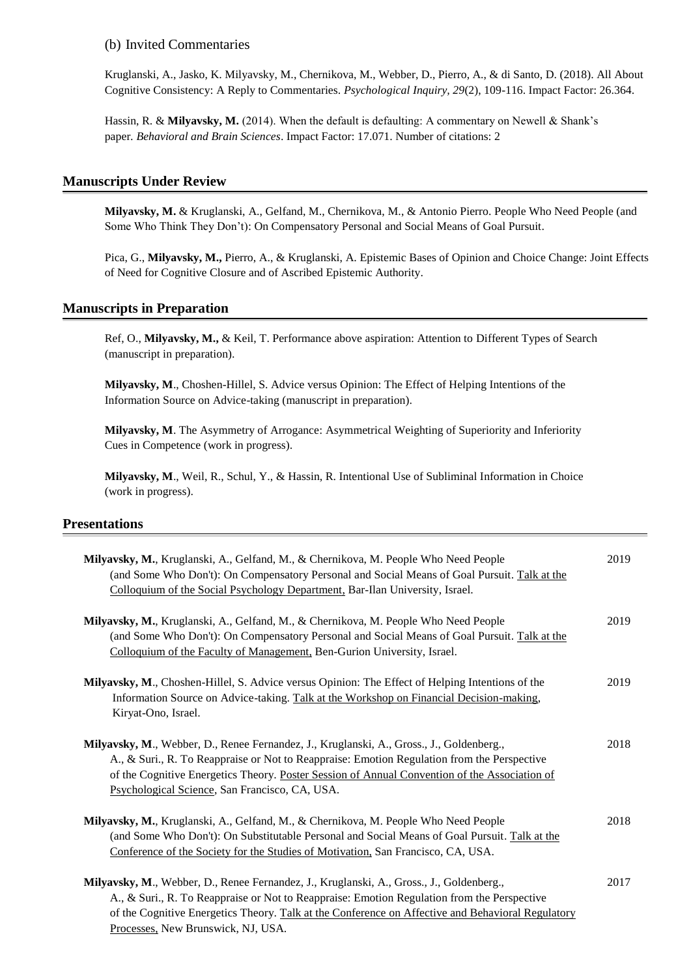(b) Invited Commentaries

Kruglanski, A., Jasko, K. Milyavsky, M., Chernikova, M., Webber, D., Pierro, A., & di Santo, D. (2018). All About Cognitive Consistency: A Reply to Commentaries. *Psychological Inquiry, 29*(2), 109-116. Impact Factor: 26.364.

Hassin, R. & **Milyavsky, M.** (2014). When the default is defaulting: A commentary on Newell & Shank's paper*. Behavioral and Brain Sciences*. Impact Factor: 17.071. Number of citations: 2

#### **Manuscripts Under Review**

**Milyavsky, M.** & Kruglanski, A., Gelfand, M., Chernikova, M., & Antonio Pierro. People Who Need People (and Some Who Think They Don't): On Compensatory Personal and Social Means of Goal Pursuit.

Pica, G., **Milyavsky, M.,** Pierro, A., & Kruglanski, A. Epistemic Bases of Opinion and Choice Change: Joint Effects of Need for Cognitive Closure and of Ascribed Epistemic Authority.

#### **Manuscripts in Preparation**

Ref, O., **Milyavsky, M.,** & Keil, T. Performance above aspiration: Attention to Different Types of Search (manuscript in preparation).

**Milyavsky, M**., Choshen-Hillel, S. Advice versus Opinion: The Effect of Helping Intentions of the Information Source on Advice-taking (manuscript in preparation).

**Milyavsky, M**. The Asymmetry of Arrogance: Asymmetrical Weighting of Superiority and Inferiority Cues in Competence (work in progress).

**Milyavsky, M**., Weil, R., Schul, Y., & Hassin, R. Intentional Use of Subliminal Information in Choice (work in progress).

#### **Presentations**

| Milyavsky, M., Kruglanski, A., Gelfand, M., & Chernikova, M. People Who Need People<br>(and Some Who Don't): On Compensatory Personal and Social Means of Goal Pursuit. Talk at the<br>Colloquium of the Social Psychology Department, Bar-Ilan University, Israel.                                                                        | 2019 |
|--------------------------------------------------------------------------------------------------------------------------------------------------------------------------------------------------------------------------------------------------------------------------------------------------------------------------------------------|------|
| Milyavsky, M., Kruglanski, A., Gelfand, M., & Chernikova, M. People Who Need People<br>(and Some Who Don't): On Compensatory Personal and Social Means of Goal Pursuit. Talk at the<br>Colloquium of the Faculty of Management, Ben-Gurion University, Israel.                                                                             | 2019 |
| Milyavsky, M., Choshen-Hillel, S. Advice versus Opinion: The Effect of Helping Intentions of the<br>Information Source on Advice-taking. Talk at the Workshop on Financial Decision-making,<br>Kiryat-Ono, Israel.                                                                                                                         | 2019 |
| Milyavsky, M., Webber, D., Renee Fernandez, J., Kruglanski, A., Gross., J., Goldenberg.,<br>A., & Suri., R. To Reappraise or Not to Reappraise: Emotion Regulation from the Perspective<br>of the Cognitive Energetics Theory. Poster Session of Annual Convention of the Association of<br>Psychological Science, San Francisco, CA, USA. | 2018 |
| Milyavsky, M., Kruglanski, A., Gelfand, M., & Chernikova, M. People Who Need People<br>(and Some Who Don't): On Substitutable Personal and Social Means of Goal Pursuit. Talk at the<br>Conference of the Society for the Studies of Motivation, San Francisco, CA, USA.                                                                   | 2018 |
| Milyavsky, M., Webber, D., Renee Fernandez, J., Kruglanski, A., Gross., J., Goldenberg.,<br>A., & Suri., R. To Reappraise or Not to Reappraise: Emotion Regulation from the Perspective<br>of the Cognitive Energetics Theory. Talk at the Conference on Affective and Behavioral Regulatory<br>Processes, New Brunswick, NJ, USA.         | 2017 |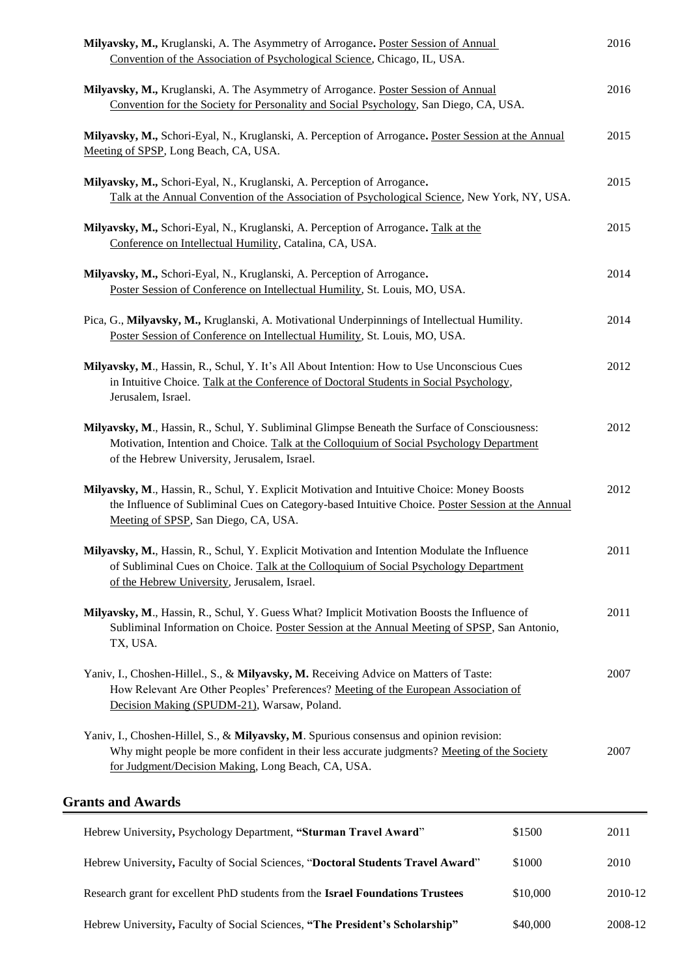| Milyavsky, M., Kruglanski, A. The Asymmetry of Arrogance. Poster Session of Annual<br>Convention of the Association of Psychological Science, Chicago, IL, USA.                                                                              |          | 2016    |
|----------------------------------------------------------------------------------------------------------------------------------------------------------------------------------------------------------------------------------------------|----------|---------|
| Milyavsky, M., Kruglanski, A. The Asymmetry of Arrogance. Poster Session of Annual<br>Convention for the Society for Personality and Social Psychology, San Diego, CA, USA.                                                                  |          | 2016    |
| Milyavsky, M., Schori-Eyal, N., Kruglanski, A. Perception of Arrogance. Poster Session at the Annual<br>Meeting of SPSP, Long Beach, CA, USA.                                                                                                |          | 2015    |
| Milyavsky, M., Schori-Eyal, N., Kruglanski, A. Perception of Arrogance.<br>Talk at the Annual Convention of the Association of Psychological Science, New York, NY, USA.                                                                     |          | 2015    |
| Milyavsky, M., Schori-Eyal, N., Kruglanski, A. Perception of Arrogance. Talk at the<br>Conference on Intellectual Humility, Catalina, CA, USA.                                                                                               |          | 2015    |
| Milyavsky, M., Schori-Eyal, N., Kruglanski, A. Perception of Arrogance.<br>Poster Session of Conference on Intellectual Humility, St. Louis, MO, USA.                                                                                        |          | 2014    |
| Pica, G., Milyavsky, M., Kruglanski, A. Motivational Underpinnings of Intellectual Humility.<br>Poster Session of Conference on Intellectual Humility, St. Louis, MO, USA.                                                                   |          | 2014    |
| Milyavsky, M., Hassin, R., Schul, Y. It's All About Intention: How to Use Unconscious Cues<br>in Intuitive Choice. Talk at the Conference of Doctoral Students in Social Psychology,<br>Jerusalem, Israel.                                   |          | 2012    |
| Milyavsky, M., Hassin, R., Schul, Y. Subliminal Glimpse Beneath the Surface of Consciousness:<br>Motivation, Intention and Choice. Talk at the Colloquium of Social Psychology Department<br>of the Hebrew University, Jerusalem, Israel.    |          | 2012    |
| Milyavsky, M., Hassin, R., Schul, Y. Explicit Motivation and Intuitive Choice: Money Boosts<br>the Influence of Subliminal Cues on Category-based Intuitive Choice. Poster Session at the Annual<br>Meeting of SPSP, San Diego, CA, USA.     |          | 2012    |
| Milyavsky, M., Hassin, R., Schul, Y. Explicit Motivation and Intention Modulate the Influence<br>of Subliminal Cues on Choice. Talk at the Colloquium of Social Psychology Department<br>of the Hebrew University, Jerusalem, Israel.        |          | 2011    |
| Milyavsky, M., Hassin, R., Schul, Y. Guess What? Implicit Motivation Boosts the Influence of<br>Subliminal Information on Choice. Poster Session at the Annual Meeting of SPSP, San Antonio,<br>TX, USA.                                     |          | 2011    |
| Yaniv, I., Choshen-Hillel., S., & Milyavsky, M. Receiving Advice on Matters of Taste:<br>How Relevant Are Other Peoples' Preferences? Meeting of the European Association of<br>Decision Making (SPUDM-21), Warsaw, Poland.                  |          | 2007    |
| Yaniv, I., Choshen-Hillel, S., & Milyavsky, M. Spurious consensus and opinion revision:<br>Why might people be more confident in their less accurate judgments? Meeting of the Society<br>for Judgment/Decision Making, Long Beach, CA, USA. |          | 2007    |
| <b>Grants and Awards</b>                                                                                                                                                                                                                     |          |         |
| Hebrew University, Psychology Department, "Sturman Travel Award"                                                                                                                                                                             | \$1500   | 2011    |
| Hebrew University, Faculty of Social Sciences, "Doctoral Students Travel Award"                                                                                                                                                              | \$1000   | 2010    |
| Research grant for excellent PhD students from the Israel Foundations Trustees                                                                                                                                                               | \$10,000 | 2010-12 |

Hebrew University**,** Faculty of Social Sciences, **"The President's Scholarship"** \$40,000 2008-12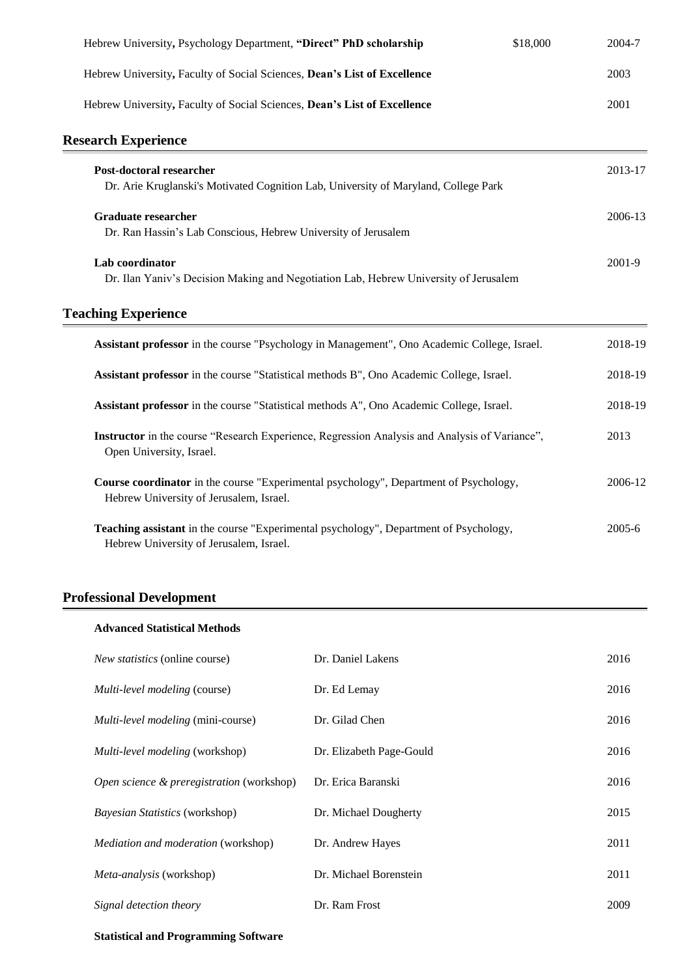| Hebrew University, Psychology Department, "Direct" PhD scholarship                                                                      | \$18,000 | 2004-7  |
|-----------------------------------------------------------------------------------------------------------------------------------------|----------|---------|
| Hebrew University, Faculty of Social Sciences, Dean's List of Excellence                                                                |          | 2003    |
| Hebrew University, Faculty of Social Sciences, Dean's List of Excellence                                                                |          | 2001    |
| <b>Research Experience</b>                                                                                                              |          |         |
| Post-doctoral researcher<br>Dr. Arie Kruglanski's Motivated Cognition Lab, University of Maryland, College Park                         |          | 2013-17 |
| <b>Graduate researcher</b><br>Dr. Ran Hassin's Lab Conscious, Hebrew University of Jerusalem                                            |          | 2006-13 |
| Lab coordinator<br>Dr. Ilan Yaniv's Decision Making and Negotiation Lab, Hebrew University of Jerusalem                                 |          | 2001-9  |
| <b>Teaching Experience</b>                                                                                                              |          |         |
| Assistant professor in the course "Psychology in Management", Ono Academic College, Israel.                                             |          | 2018-19 |
| Assistant professor in the course "Statistical methods B", Ono Academic College, Israel.                                                |          | 2018-19 |
| Assistant professor in the course "Statistical methods A", Ono Academic College, Israel.                                                |          | 2018-19 |
| <b>Instructor</b> in the course "Research Experience, Regression Analysis and Analysis of Variance",<br>Open University, Israel.        |          | 2013    |
| <b>Course coordinator</b> in the course "Experimental psychology", Department of Psychology,<br>Hebrew University of Jerusalem, Israel. |          | 2006-12 |
| Teaching assistant in the course "Experimental psychology", Department of Psychology,<br>Hebrew University of Jerusalem, Israel.        |          | 2005-6  |
|                                                                                                                                         |          |         |

# **Professional Development**

| <b>Advanced Statistical Methods</b>        |                          |      |
|--------------------------------------------|--------------------------|------|
| <i>New statistics</i> (online course)      | Dr. Daniel Lakens        | 2016 |
| Multi-level modeling (course)              | Dr. Ed Lemay             | 2016 |
| Multi-level modeling (mini-course)         | Dr. Gilad Chen           | 2016 |
| Multi-level modeling (workshop)            | Dr. Elizabeth Page-Gould | 2016 |
| Open science & preregistration (workshop)  | Dr. Erica Baranski       | 2016 |
| <i>Bayesian Statistics</i> (workshop)      | Dr. Michael Dougherty    | 2015 |
| <i>Mediation and moderation</i> (workshop) | Dr. Andrew Hayes         | 2011 |
| <i>Meta-analysis</i> (workshop)            | Dr. Michael Borenstein   | 2011 |
| Signal detection theory                    | Dr. Ram Frost            | 2009 |

# **Statistical and Programming Software**